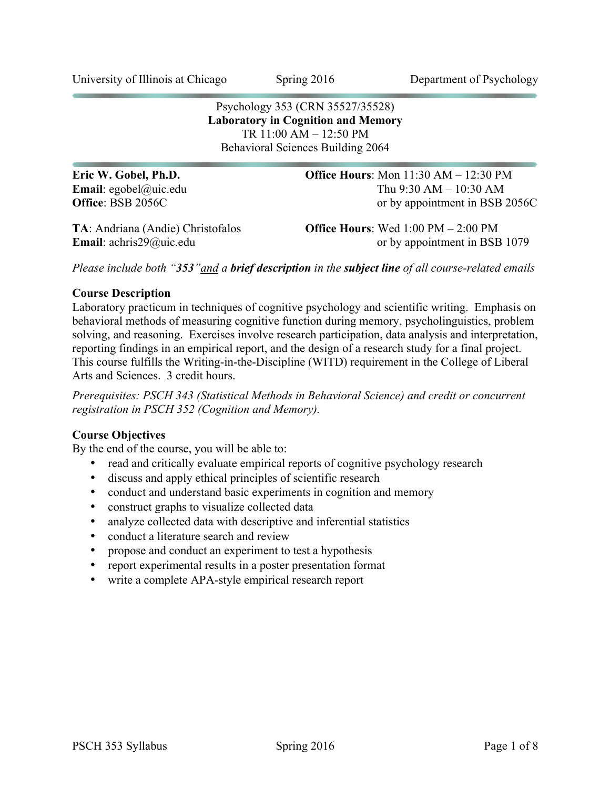University of Illinois at Chicago Spring 2016 Department of Psychology

Psychology 353 (CRN 35527/35528) **Laboratory in Cognition and Memory** TR 11:00 AM – 12:50 PM Behavioral Sciences Building 2064

| Eric W. Gobel, Ph.D.                        | <b>Office Hours:</b> Mon $11:30$ AM $- 12:30$ PM             |
|---------------------------------------------|--------------------------------------------------------------|
| <b>Email:</b> egobel@uic.edu                | Thu $9:30 AM - 10:30 AM$                                     |
| <b>Office: BSB 2056C</b>                    | or by appointment in BSB 2056C                               |
| TA: Andriana (Andie) Christofalos           | <b>Office Hours:</b> Wed $1:00 \text{ PM} - 2:00 \text{ PM}$ |
| <b>Email</b> : $achris29$ <i>(a)uic.edu</i> | or by appointment in BSB 1079                                |

*Please include both "353"and a brief description in the subject line of all course-related emails*

#### **Course Description**

Laboratory practicum in techniques of cognitive psychology and scientific writing. Emphasis on behavioral methods of measuring cognitive function during memory, psycholinguistics, problem solving, and reasoning. Exercises involve research participation, data analysis and interpretation, reporting findings in an empirical report, and the design of a research study for a final project. This course fulfills the Writing-in-the-Discipline (WITD) requirement in the College of Liberal Arts and Sciences. 3 credit hours.

*Prerequisites: PSCH 343 (Statistical Methods in Behavioral Science) and credit or concurrent registration in PSCH 352 (Cognition and Memory).*

### **Course Objectives**

By the end of the course, you will be able to:

- read and critically evaluate empirical reports of cognitive psychology research
- discuss and apply ethical principles of scientific research
- conduct and understand basic experiments in cognition and memory
- construct graphs to visualize collected data
- analyze collected data with descriptive and inferential statistics
- conduct a literature search and review
- propose and conduct an experiment to test a hypothesis
- report experimental results in a poster presentation format
- write a complete APA-style empirical research report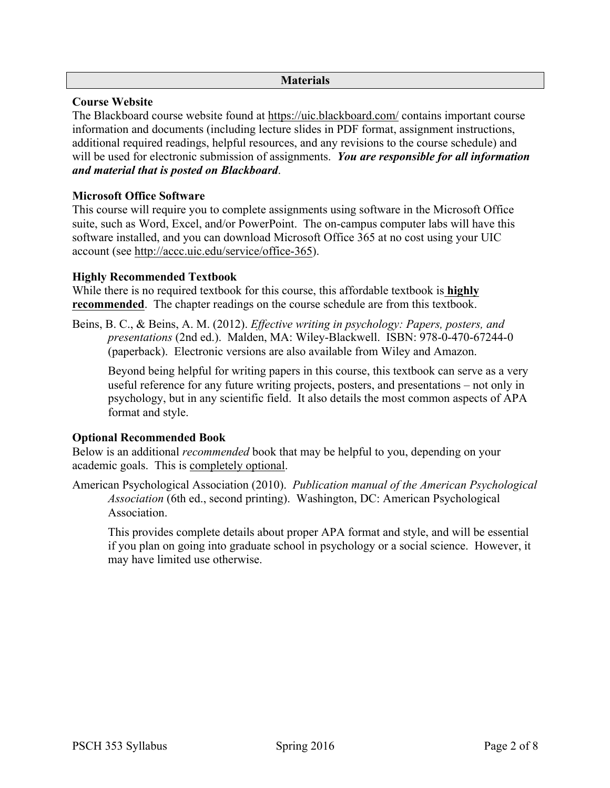### **Materials**

# **Course Website**

The Blackboard course website found at https://uic.blackboard.com/ contains important course information and documents (including lecture slides in PDF format, assignment instructions, additional required readings, helpful resources, and any revisions to the course schedule) and will be used for electronic submission of assignments. *You are responsible for all information and material that is posted on Blackboard*.

# **Microsoft Office Software**

This course will require you to complete assignments using software in the Microsoft Office suite, such as Word, Excel, and/or PowerPoint. The on-campus computer labs will have this software installed, and you can download Microsoft Office 365 at no cost using your UIC account (see http://accc.uic.edu/service/office-365).

# **Highly Recommended Textbook**

While there is no required textbook for this course, this affordable textbook is **highly recommended**. The chapter readings on the course schedule are from this textbook.

Beins, B. C., & Beins, A. M. (2012). *Effective writing in psychology: Papers, posters, and presentations* (2nd ed.). Malden, MA: Wiley-Blackwell. ISBN: 978-0-470-67244-0 (paperback). Electronic versions are also available from Wiley and Amazon.

Beyond being helpful for writing papers in this course, this textbook can serve as a very useful reference for any future writing projects, posters, and presentations – not only in psychology, but in any scientific field. It also details the most common aspects of APA format and style.

# **Optional Recommended Book**

Below is an additional *recommended* book that may be helpful to you, depending on your academic goals. This is completely optional.

American Psychological Association (2010). *Publication manual of the American Psychological Association* (6th ed., second printing). Washington, DC: American Psychological **Association** 

This provides complete details about proper APA format and style, and will be essential if you plan on going into graduate school in psychology or a social science. However, it may have limited use otherwise.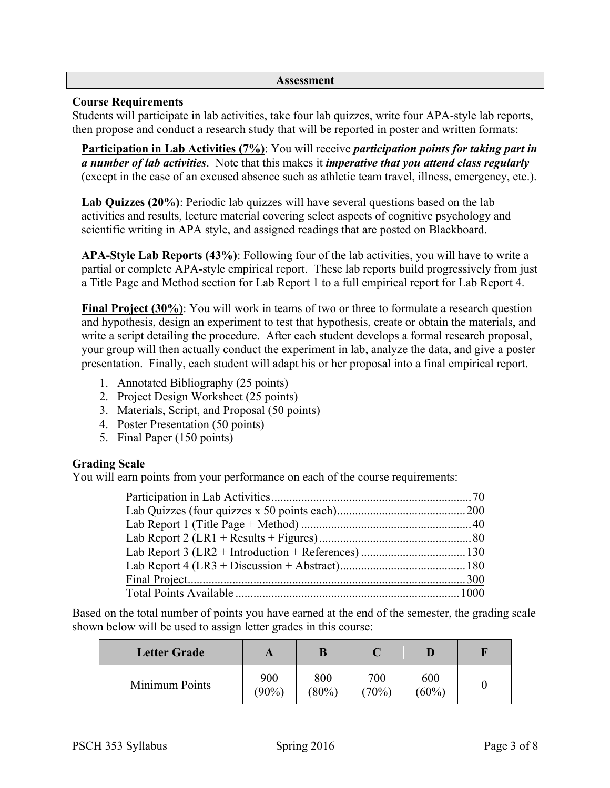#### **Assessment**

### **Course Requirements**

Students will participate in lab activities, take four lab quizzes, write four APA-style lab reports, then propose and conduct a research study that will be reported in poster and written formats:

**Participation in Lab Activities (7%)**: You will receive *participation points for taking part in a number of lab activities*. Note that this makes it *imperative that you attend class regularly* (except in the case of an excused absence such as athletic team travel, illness, emergency, etc.).

**Lab Quizzes (20%)**: Periodic lab quizzes will have several questions based on the lab activities and results, lecture material covering select aspects of cognitive psychology and scientific writing in APA style, and assigned readings that are posted on Blackboard.

**APA-Style Lab Reports (43%)**: Following four of the lab activities, you will have to write a partial or complete APA-style empirical report. These lab reports build progressively from just a Title Page and Method section for Lab Report 1 to a full empirical report for Lab Report 4.

**Final Project (30%)**: You will work in teams of two or three to formulate a research question and hypothesis, design an experiment to test that hypothesis, create or obtain the materials, and write a script detailing the procedure. After each student develops a formal research proposal, your group will then actually conduct the experiment in lab, analyze the data, and give a poster presentation. Finally, each student will adapt his or her proposal into a final empirical report.

- 1. Annotated Bibliography (25 points)
- 2. Project Design Worksheet (25 points)
- 3. Materials, Script, and Proposal (50 points)
- 4. Poster Presentation (50 points)
- 5. Final Paper (150 points)

# **Grading Scale**

You will earn points from your performance on each of the course requirements:

Based on the total number of points you have earned at the end of the semester, the grading scale shown below will be used to assign letter grades in this course:

| <b>Letter Grade</b> |                 |                 |              |                 | H |
|---------------------|-----------------|-----------------|--------------|-----------------|---|
| Minimum Points      | 900<br>$(90\%)$ | 800<br>$(80\%)$ | 700<br>(70%) | 600<br>$(60\%)$ |   |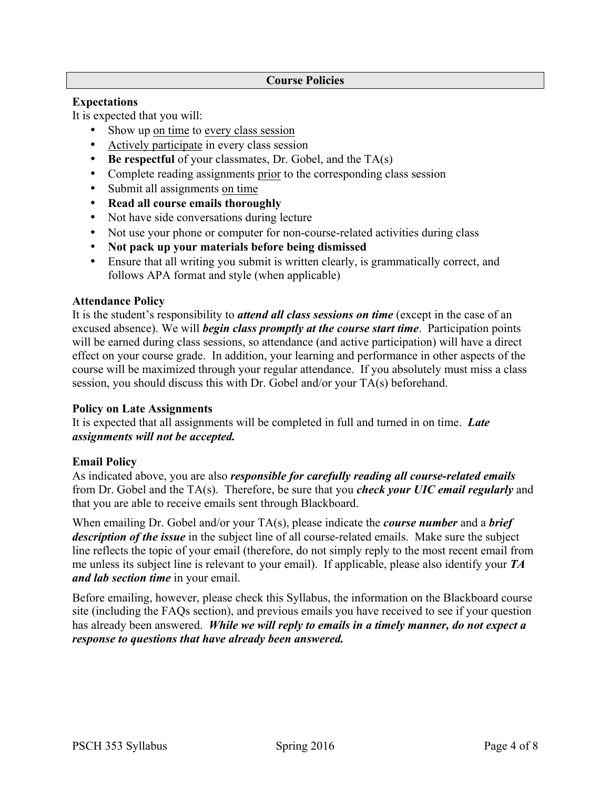#### **Course Policies**

### **Expectations**

It is expected that you will:

- Show up on time to every class session
- Actively participate in every class session
- **Be respectful** of your classmates, Dr. Gobel, and the TA(s)
- Complete reading assignments prior to the corresponding class session
- Submit all assignments on time
- **Read all course emails thoroughly**
- Not have side conversations during lecture
- Not use your phone or computer for non-course-related activities during class
- **Not pack up your materials before being dismissed**
- Ensure that all writing you submit is written clearly, is grammatically correct, and follows APA format and style (when applicable)

### **Attendance Policy**

It is the student's responsibility to *attend all class sessions on time* (except in the case of an excused absence). We will *begin class promptly at the course start time*. Participation points will be earned during class sessions, so attendance (and active participation) will have a direct effect on your course grade. In addition, your learning and performance in other aspects of the course will be maximized through your regular attendance. If you absolutely must miss a class session, you should discuss this with Dr. Gobel and/or your TA(s) beforehand.

### **Policy on Late Assignments**

It is expected that all assignments will be completed in full and turned in on time. *Late assignments will not be accepted.*

# **Email Policy**

As indicated above, you are also *responsible for carefully reading all course-related emails* from Dr. Gobel and the TA(s). Therefore, be sure that you *check your UIC email regularly* and that you are able to receive emails sent through Blackboard.

When emailing Dr. Gobel and/or your TA(s), please indicate the *course number* and a *brief description of the issue* in the subject line of all course-related emails. Make sure the subject line reflects the topic of your email (therefore, do not simply reply to the most recent email from me unless its subject line is relevant to your email). If applicable, please also identify your *TA and lab section time* in your email.

Before emailing, however, please check this Syllabus, the information on the Blackboard course site (including the FAQs section), and previous emails you have received to see if your question has already been answered. *While we will reply to emails in a timely manner, do not expect a response to questions that have already been answered.*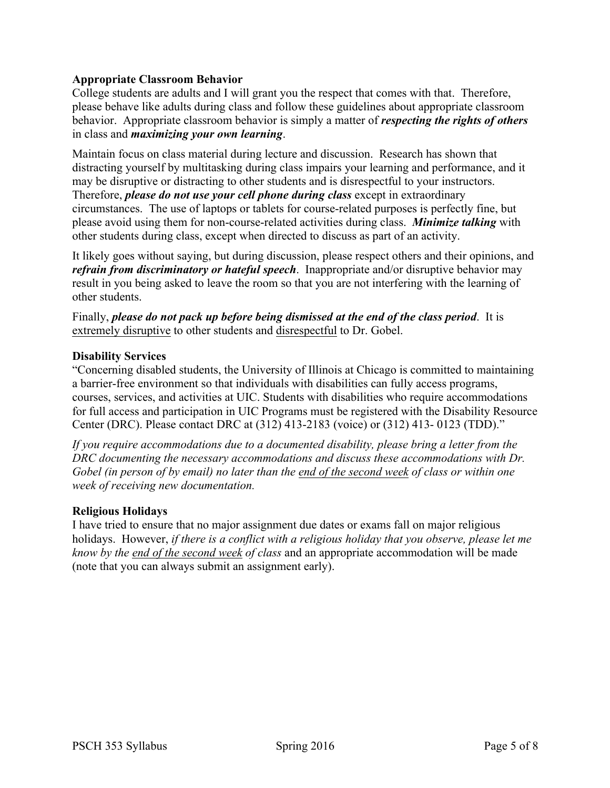# **Appropriate Classroom Behavior**

College students are adults and I will grant you the respect that comes with that. Therefore, please behave like adults during class and follow these guidelines about appropriate classroom behavior. Appropriate classroom behavior is simply a matter of *respecting the rights of others* in class and *maximizing your own learning*.

Maintain focus on class material during lecture and discussion. Research has shown that distracting yourself by multitasking during class impairs your learning and performance, and it may be disruptive or distracting to other students and is disrespectful to your instructors. Therefore, *please do not use your cell phone during class* except in extraordinary circumstances. The use of laptops or tablets for course-related purposes is perfectly fine, but please avoid using them for non-course-related activities during class. *Minimize talking* with other students during class, except when directed to discuss as part of an activity.

It likely goes without saying, but during discussion, please respect others and their opinions, and *refrain from discriminatory or hateful speech*. Inappropriate and/or disruptive behavior may result in you being asked to leave the room so that you are not interfering with the learning of other students.

Finally, *please do not pack up before being dismissed at the end of the class period*. It is extremely disruptive to other students and disrespectful to Dr. Gobel.

### **Disability Services**

"Concerning disabled students, the University of Illinois at Chicago is committed to maintaining a barrier-free environment so that individuals with disabilities can fully access programs, courses, services, and activities at UIC. Students with disabilities who require accommodations for full access and participation in UIC Programs must be registered with the Disability Resource Center (DRC). Please contact DRC at (312) 413-2183 (voice) or (312) 413- 0123 (TDD)."

*If you require accommodations due to a documented disability, please bring a letter from the DRC documenting the necessary accommodations and discuss these accommodations with Dr. Gobel (in person of by email) no later than the end of the second week of class or within one week of receiving new documentation.*

### **Religious Holidays**

I have tried to ensure that no major assignment due dates or exams fall on major religious holidays. However, *if there is a conflict with a religious holiday that you observe, please let me know by the end of the second week of class* and an appropriate accommodation will be made (note that you can always submit an assignment early).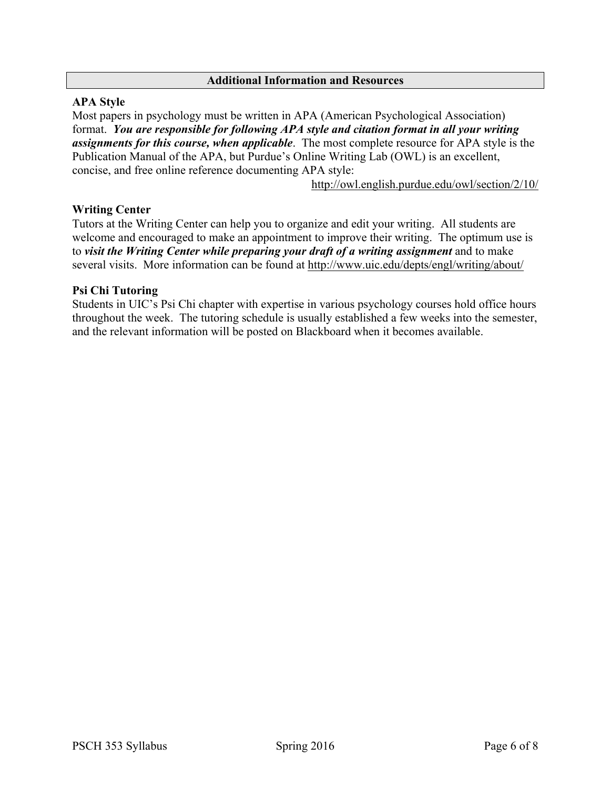#### **Additional Information and Resources**

### **APA Style**

Most papers in psychology must be written in APA (American Psychological Association) format. *You are responsible for following APA style and citation format in all your writing assignments for this course, when applicable*. The most complete resource for APA style is the Publication Manual of the APA, but Purdue's Online Writing Lab (OWL) is an excellent, concise, and free online reference documenting APA style:

http://owl.english.purdue.edu/owl/section/2/10/

### **Writing Center**

Tutors at the Writing Center can help you to organize and edit your writing. All students are welcome and encouraged to make an appointment to improve their writing. The optimum use is to *visit the Writing Center while preparing your draft of a writing assignment* and to make several visits. More information can be found at http://www.uic.edu/depts/engl/writing/about/

### **Psi Chi Tutoring**

Students in UIC's Psi Chi chapter with expertise in various psychology courses hold office hours throughout the week. The tutoring schedule is usually established a few weeks into the semester, and the relevant information will be posted on Blackboard when it becomes available.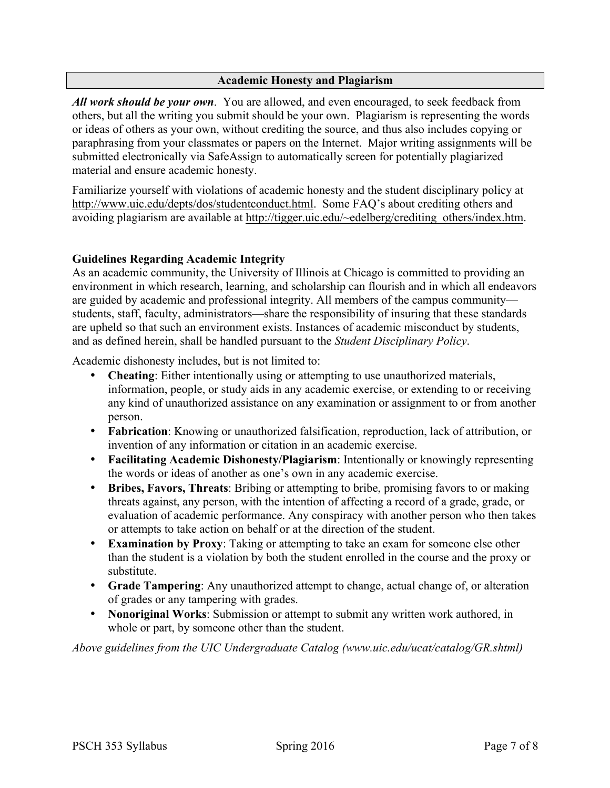### **Academic Honesty and Plagiarism**

*All work should be your own*. You are allowed, and even encouraged, to seek feedback from others, but all the writing you submit should be your own. Plagiarism is representing the words or ideas of others as your own, without crediting the source, and thus also includes copying or paraphrasing from your classmates or papers on the Internet. Major writing assignments will be submitted electronically via SafeAssign to automatically screen for potentially plagiarized material and ensure academic honesty.

Familiarize yourself with violations of academic honesty and the student disciplinary policy at http://www.uic.edu/depts/dos/studentconduct.html. Some FAO's about crediting others and avoiding plagiarism are available at http://tigger.uic.edu/~edelberg/crediting\_others/index.htm.

# **Guidelines Regarding Academic Integrity**

As an academic community, the University of Illinois at Chicago is committed to providing an environment in which research, learning, and scholarship can flourish and in which all endeavors are guided by academic and professional integrity. All members of the campus community students, staff, faculty, administrators—share the responsibility of insuring that these standards are upheld so that such an environment exists. Instances of academic misconduct by students, and as defined herein, shall be handled pursuant to the *Student Disciplinary Policy*.

Academic dishonesty includes, but is not limited to:

- **Cheating**: Either intentionally using or attempting to use unauthorized materials, information, people, or study aids in any academic exercise, or extending to or receiving any kind of unauthorized assistance on any examination or assignment to or from another person.
- **Fabrication**: Knowing or unauthorized falsification, reproduction, lack of attribution, or invention of any information or citation in an academic exercise.
- **Facilitating Academic Dishonesty/Plagiarism**: Intentionally or knowingly representing the words or ideas of another as one's own in any academic exercise.
- **Bribes, Favors, Threats**: Bribing or attempting to bribe, promising favors to or making threats against, any person, with the intention of affecting a record of a grade, grade, or evaluation of academic performance. Any conspiracy with another person who then takes or attempts to take action on behalf or at the direction of the student.
- **Examination by Proxy**: Taking or attempting to take an exam for someone else other than the student is a violation by both the student enrolled in the course and the proxy or substitute.
- **Grade Tampering**: Any unauthorized attempt to change, actual change of, or alteration of grades or any tampering with grades.
- **Nonoriginal Works**: Submission or attempt to submit any written work authored, in whole or part, by someone other than the student.

*Above guidelines from the UIC Undergraduate Catalog (www.uic.edu/ucat/catalog/GR.shtml)*